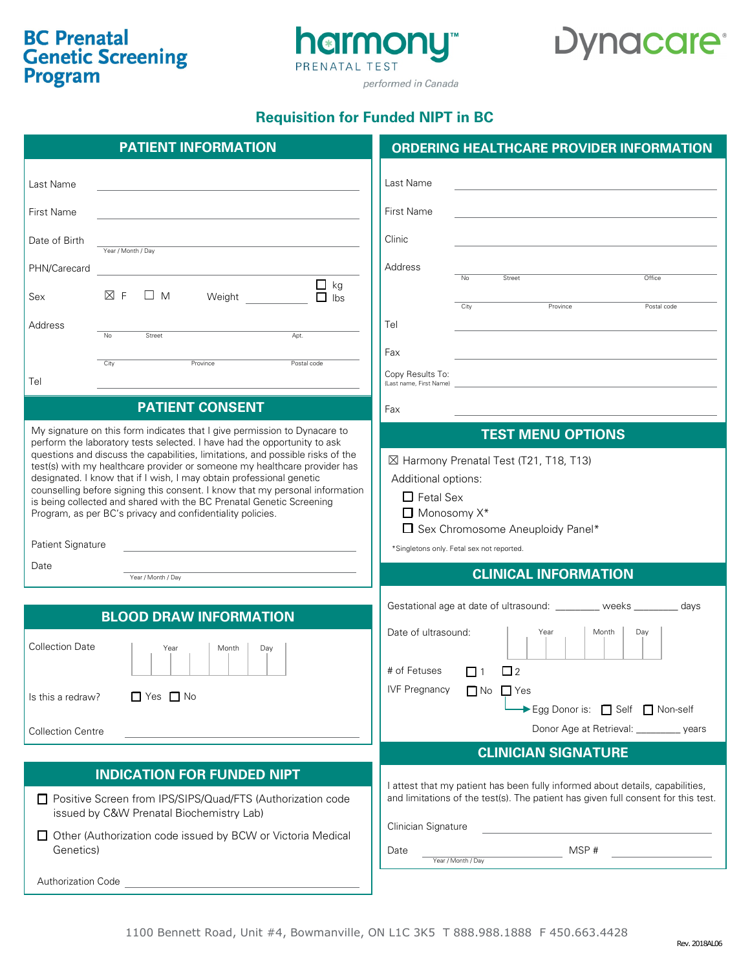# **BC Prenatal Genetic Screening**<br>Program



# Dynacare<sup>®</sup>

performed in Canada

## **Requisition for Funded NIPT in BC**

| <b>PATIENT INFORMATION</b>                                                                                                                                                                                                                                                                                                                                                                                                                                                                                                                                                                                                                                                                                                                                      | <b>ORDERING HEALTHCARE PROVIDER INFORMATION</b>                                                                                                                                                                                 |
|-----------------------------------------------------------------------------------------------------------------------------------------------------------------------------------------------------------------------------------------------------------------------------------------------------------------------------------------------------------------------------------------------------------------------------------------------------------------------------------------------------------------------------------------------------------------------------------------------------------------------------------------------------------------------------------------------------------------------------------------------------------------|---------------------------------------------------------------------------------------------------------------------------------------------------------------------------------------------------------------------------------|
| Last Name                                                                                                                                                                                                                                                                                                                                                                                                                                                                                                                                                                                                                                                                                                                                                       | Last Name<br><u> 1980 - Johann Stoff, amerikansk politiker (* 1901)</u>                                                                                                                                                         |
| First Name<br><u> 1980 - Johann Barn, mars eta bainar eta bainar eta baina eta baina eta baina eta baina eta baina eta baina e</u>                                                                                                                                                                                                                                                                                                                                                                                                                                                                                                                                                                                                                              | First Name                                                                                                                                                                                                                      |
| Date of Birth<br>the control of the control of the control of the control of the control of<br>Year / Month / Day                                                                                                                                                                                                                                                                                                                                                                                                                                                                                                                                                                                                                                               | Clinic                                                                                                                                                                                                                          |
| PHN/Carecard<br><u> 1989 - Johann Barn, mars ann an t-Amhain Aonaich an t-Aonaich an t-Aonaich ann an t-Aonaich ann an t-Aonaich</u>                                                                                                                                                                                                                                                                                                                                                                                                                                                                                                                                                                                                                            | Address<br>Office<br>Street<br>No                                                                                                                                                                                               |
| $\Box$ kg<br>$\boxtimes$ F<br>$\square$ M<br>Weight<br>$\Box$ lbs<br>Sex                                                                                                                                                                                                                                                                                                                                                                                                                                                                                                                                                                                                                                                                                        | City<br>Province<br>Postal code                                                                                                                                                                                                 |
| Address                                                                                                                                                                                                                                                                                                                                                                                                                                                                                                                                                                                                                                                                                                                                                         | Tel                                                                                                                                                                                                                             |
| Street<br>Apt.<br>$\overline{N_{0}}$                                                                                                                                                                                                                                                                                                                                                                                                                                                                                                                                                                                                                                                                                                                            | Fax                                                                                                                                                                                                                             |
| Province<br>City<br>Postal code<br>Tel                                                                                                                                                                                                                                                                                                                                                                                                                                                                                                                                                                                                                                                                                                                          | Copy Results To:<br>(Last name, First Name)                                                                                                                                                                                     |
| <b>PATIENT CONSENT</b>                                                                                                                                                                                                                                                                                                                                                                                                                                                                                                                                                                                                                                                                                                                                          | Fax                                                                                                                                                                                                                             |
| My signature on this form indicates that I give permission to Dynacare to<br>perform the laboratory tests selected. I have had the opportunity to ask<br>questions and discuss the capabilities, limitations, and possible risks of the<br>test(s) with my healthcare provider or someone my healthcare provider has<br>designated. I know that if I wish, I may obtain professional genetic<br>counselling before signing this consent. I know that my personal information<br>is being collected and shared with the BC Prenatal Genetic Screening<br>Program, as per BC's privacy and confidentiality policies.<br>Patient Signature<br><u> 1989 - Johann Stein, marwolaethau a bhann an t-Amhair an t-Amhair an t-Amhair an t-Amhair an t-Amhair an t-A</u> | <b>TEST MENU OPTIONS</b><br>⊠ Harmony Prenatal Test (T21, T18, T13)<br>Additional options:<br>$\Box$ Fetal Sex<br>$\Box$ Monosomy $X^*$<br>$\Box$ Sex Chromosome Aneuploidy Panel*<br>*Singletons only. Fetal sex not reported. |
| Date<br>Year / Month / Day                                                                                                                                                                                                                                                                                                                                                                                                                                                                                                                                                                                                                                                                                                                                      | <b>CLINICAL INFORMATION</b>                                                                                                                                                                                                     |
| <b>BLOOD DRAW INFORMATION</b><br><b>Collection Date</b><br>Day<br>Year<br>Month                                                                                                                                                                                                                                                                                                                                                                                                                                                                                                                                                                                                                                                                                 | Gestational age at date of ultrasound: ________ weeks _______ days<br>Date of ultrasound:<br>Day<br>Month<br>Year<br># of Fetuses<br>$\Box$ 2<br>$\Box$ 1                                                                       |
| $\Box$ Yes $\Box$ No<br>Is this a redraw?                                                                                                                                                                                                                                                                                                                                                                                                                                                                                                                                                                                                                                                                                                                       | <b>IVF Pregnancy</b><br>$\Box$ No $\Box$ Yes<br>Egg Donor is: Self Mon-self                                                                                                                                                     |
| <b>Collection Centre</b>                                                                                                                                                                                                                                                                                                                                                                                                                                                                                                                                                                                                                                                                                                                                        | Donor Age at Retrieval: _________ years                                                                                                                                                                                         |
|                                                                                                                                                                                                                                                                                                                                                                                                                                                                                                                                                                                                                                                                                                                                                                 | <b>CLINICIAN SIGNATURE</b>                                                                                                                                                                                                      |
| <b>INDICATION FOR FUNDED NIPT</b><br>□ Positive Screen from IPS/SIPS/Quad/FTS (Authorization code<br>issued by C&W Prenatal Biochemistry Lab)<br>□ Other (Authorization code issued by BCW or Victoria Medical                                                                                                                                                                                                                                                                                                                                                                                                                                                                                                                                                  | I attest that my patient has been fully informed about details, capabilities,<br>and limitations of the test(s). The patient has given full consent for this test.<br>Clinician Signature                                       |
| Genetics)                                                                                                                                                                                                                                                                                                                                                                                                                                                                                                                                                                                                                                                                                                                                                       | MSP#<br>Date<br>Year / Month / Day                                                                                                                                                                                              |
| Authorization Code<br><u> 1989 - Johann Barbara, martxa alemaniar a</u>                                                                                                                                                                                                                                                                                                                                                                                                                                                                                                                                                                                                                                                                                         |                                                                                                                                                                                                                                 |